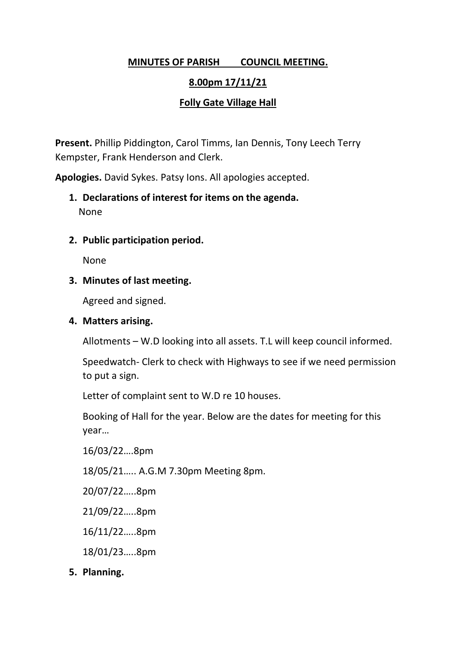# **MINUTES OF PARISH COUNCIL MEETING.**

# **8.00pm 17/11/21**

# **Folly Gate Village Hall**

**Present.** Phillip Piddington, Carol Timms, Ian Dennis, Tony Leech Terry Kempster, Frank Henderson and Clerk.

**Apologies.** David Sykes. Patsy Ions. All apologies accepted.

- **1. Declarations of interest for items on the agenda.** None
- **2. Public participation period.**

None

**3. Minutes of last meeting.**

Agreed and signed.

## **4. Matters arising.**

Allotments – W.D looking into all assets. T.L will keep council informed.

Speedwatch- Clerk to check with Highways to see if we need permission to put a sign.

Letter of complaint sent to W.D re 10 houses.

Booking of Hall for the year. Below are the dates for meeting for this year…

16/03/22….8pm

18/05/21….. A.G.M 7.30pm Meeting 8pm.

20/07/22…..8pm

21/09/22…..8pm

16/11/22…..8pm

18/01/23…..8pm

**5. Planning.**